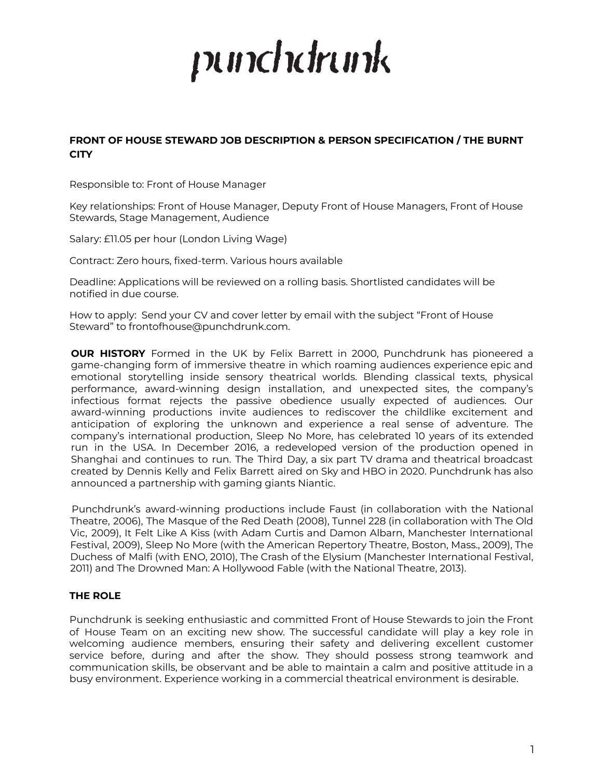# punchdrunk

# **FRONT OF HOUSE STEWARD JOB DESCRIPTION & PERSON SPECIFICATION / THE BURNT CITY**

Responsible to: Front of House Manager

Key relationships: Front of House Manager, Deputy Front of House Managers, Front of House Stewards, Stage Management, Audience

Salary: £11.05 per hour (London Living Wage)

Contract: Zero hours, fixed-term. Various hours available

Deadline: Applications will be reviewed on a rolling basis. Shortlisted candidates will be notified in due course.

How to apply: Send your CV and cover letter by email with the subject "Front of House Steward" to frontofhouse@punchdrunk.com.

**OUR HISTORY** Formed in the UK by Felix Barrett in 2000, Punchdrunk has pioneered a game-changing form of immersive theatre in which roaming audiences experience epic and emotional storytelling inside sensory theatrical worlds. Blending classical texts, physical performance, award-winning design installation, and unexpected sites, the company's infectious format rejects the passive obedience usually expected of audiences. Our award-winning productions invite audiences to rediscover the childlike excitement and anticipation of exploring the unknown and experience a real sense of adventure. The company's international production, Sleep No More, has celebrated 10 years of its extended run in the USA. In December 2016, a redeveloped version of the production opened in Shanghai and continues to run. The Third Day, a six part TV drama and theatrical broadcast created by Dennis Kelly and Felix Barrett aired on Sky and HBO in 2020. Punchdrunk has also announced a partnership with gaming giants Niantic.

Punchdrunk's award-winning productions include Faust (in collaboration with the National Theatre, 2006), The Masque of the Red Death (2008), Tunnel 228 (in collaboration with The Old Vic, 2009), It Felt Like A Kiss (with Adam Curtis and Damon Albarn, Manchester International Festival, 2009), Sleep No More (with the American Repertory Theatre, Boston, Mass., 2009), The Duchess of Malfi (with ENO, 2010), The Crash of the Elysium (Manchester International Festival, 2011) and The Drowned Man: A Hollywood Fable (with the National Theatre, 2013).

## **THE ROLE**

Punchdrunk is seeking enthusiastic and committed Front of House Stewards to join the Front of House Team on an exciting new show. The successful candidate will play a key role in welcoming audience members, ensuring their safety and delivering excellent customer service before, during and after the show. They should possess strong teamwork and communication skills, be observant and be able to maintain a calm and positive attitude in a busy environment. Experience working in a commercial theatrical environment is desirable.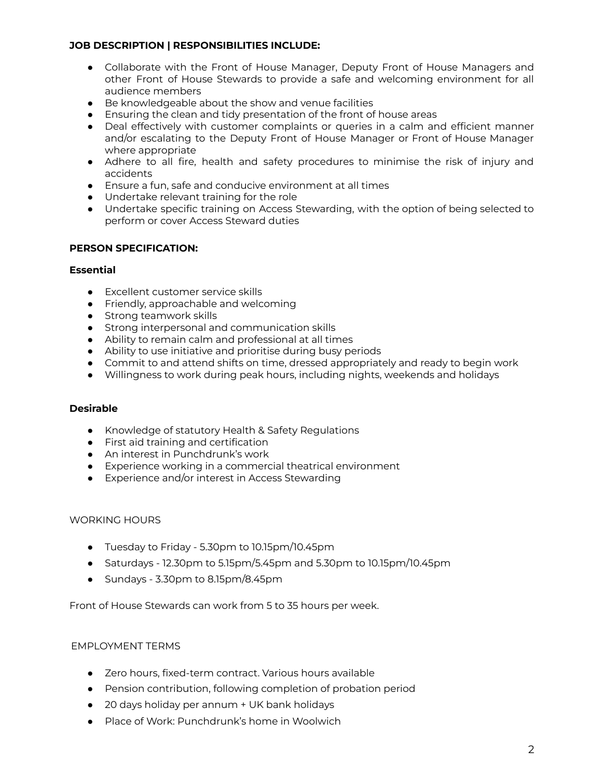## **JOB DESCRIPTION | RESPONSIBILITIES INCLUDE:**

- Collaborate with the Front of House Manager, Deputy Front of House Managers and other Front of House Stewards to provide a safe and welcoming environment for all audience members
- Be knowledgeable about the show and venue facilities
- Ensuring the clean and tidy presentation of the front of house areas
- Deal effectively with customer complaints or queries in a calm and efficient manner and/or escalating to the Deputy Front of House Manager or Front of House Manager where appropriate
- Adhere to all fire, health and safety procedures to minimise the risk of injury and accidents
- Ensure a fun, safe and conducive environment at all times
- Undertake relevant training for the role
- Undertake specific training on Access Stewarding, with the option of being selected to perform or cover Access Steward duties

## **PERSON SPECIFICATION:**

## **Essential**

- Excellent customer service skills
- Friendly, approachable and welcoming
- Strong teamwork skills
- Strong interpersonal and communication skills
- Ability to remain calm and professional at all times
- Ability to use initiative and prioritise during busy periods
- Commit to and attend shifts on time, dressed appropriately and ready to begin work
- Willingness to work during peak hours, including nights, weekends and holidays

## **Desirable**

- Knowledge of statutory Health & Safety Regulations
- First aid training and certification
- An interest in Punchdrunk's work
- Experience working in a commercial theatrical environment
- Experience and/or interest in Access Stewarding

## WORKING HOURS

- Tuesday to Friday 5.30pm to 10.15pm/10.45pm
- Saturdays 12.30pm to 5.15pm/5.45pm and 5.30pm to 10.15pm/10.45pm
- Sundays 3.30pm to 8.15pm/8.45pm

Front of House Stewards can work from 5 to 35 hours per week.

## EMPLOYMENT TERMS

- Zero hours, fixed-term contract. Various hours available
- Pension contribution, following completion of probation period
- 20 days holiday per annum + UK bank holidays
- Place of Work: Punchdrunk's home in Woolwich